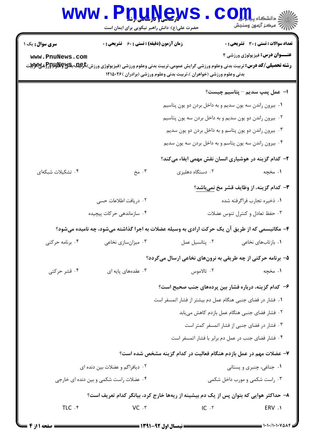## Www.PnuNews.Com

حضرت علی(ع): دانش راهبر نیکویی برای ایمان است

| <b>سری سوال :</b> یک ۱<br>www.PnuNews.com | زمان آزمون (دقیقه) : تستی : 60 گشریحی : 0 | <b>رشته تحصیلی/کد درس:</b> تربیت بدنی وعلوم ورزشی گرایش عمومی،تربیت بدنی وعلوم ورزشی (فیزیولوژی ورزش) <del>با</del> پویلا،پولیا،پایل<br>.<br>بدنی وعلوم ورزشی (خواهران )،تربیت بدنی وعلوم ورزشی (برادران )۲۲۱۵۰۲۶ | <b>تعداد سوالات : تستی : 30 - تشریحی : 0</b><br><b>عنـــوان درس:</b> فیزیولوژی ورزشی ۲ |
|-------------------------------------------|-------------------------------------------|-------------------------------------------------------------------------------------------------------------------------------------------------------------------------------------------------------------------|----------------------------------------------------------------------------------------|
|                                           |                                           |                                                                                                                                                                                                                   | <b>ا– عمل پمپ سدیم – پتاسیم چیست</b> ؟                                                 |
|                                           |                                           | ۰۱ بیرون راندن سه یون سدیم و به داخل بردن دو یون پتاسیم                                                                                                                                                           |                                                                                        |
|                                           |                                           | ۰۲ بیرون راندن دو یون سدیم و به داخل بردن سه یون پتاسیم                                                                                                                                                           |                                                                                        |
|                                           |                                           |                                                                                                                                                                                                                   | ۰۳ بیرون راندن دو یون پتاسم و به داخل بردن دو یون سدیم                                 |
|                                           |                                           | ۰۴ بیرون راندن سه یون پتاسم و به داخل بردن سه یون سدیم                                                                                                                                                            |                                                                                        |
|                                           |                                           |                                                                                                                                                                                                                   | ۲- کدام گزینه در هوشیاری انسان نقش مهمی ایفاء میکند؟                                   |
| ۰۴ تشکیلات شبکهای                         | ۰۳ مخ                                     | ۰۲ دستگاه دهلیزی                                                                                                                                                                                                  | ۱. مخچه                                                                                |
|                                           |                                           |                                                                                                                                                                                                                   | <b>۳</b> – کدام گزینه، از وظایف قشر مخ <u>نمیباشد</u> ؟                                |
|                                           | ۲. دریافت اطلاعات حسی                     |                                                                                                                                                                                                                   | ۰۱ ذخیره تجارب فراگرفته شده                                                            |
|                                           | ۰۴ سازماندهی حرکات پیچیده                 |                                                                                                                                                                                                                   | ۰۳ حفظ تعادل و کنترل تنوس عضلات                                                        |
|                                           |                                           | ۴– مکانیسمی که از طریق آن یک حرکت ارادی به وسیله عضلات به اجرا گذاشته میشود، چه نامیده میشود؟                                                                                                                     |                                                                                        |
| ۰۴ برنامه حرکتی                           | ۰۳ میزانسازی نخاعی                        | ٠٢. پتانسيل عمل                                                                                                                                                                                                   | ۰۱ بازتابهای نخاعی                                                                     |
|                                           |                                           | ۵- برنامه حرکتی از چه طریقی به نرونهای نخاعی ارسال میگردد؟                                                                                                                                                        |                                                                                        |
| ۰۴ قشر حرکتی                              | ۰۳ عقدههای پایه ای $\cdot$                |                                                                                                                                                                                                                   |                                                                                        |
|                                           |                                           | ۶– کدام گزینه، درباره فشار بین پردههای جنب صحیح است؟                                                                                                                                                              |                                                                                        |
|                                           |                                           | ۰۱ فشار در فضای جنبی هنگام عمل دم بیشتر از فشار اتمسفر است                                                                                                                                                        |                                                                                        |
|                                           |                                           |                                                                                                                                                                                                                   | ٠٢ فشار فضاى جنبى هنگام عمل بازدم كاهش مىيابد                                          |
|                                           |                                           |                                                                                                                                                                                                                   | ۰۳ فشار در فضای جنبی از فشار اتمسفر کمتر است                                           |
|                                           |                                           |                                                                                                                                                                                                                   | ۰۴ فشار فضای جنب در عمل دم برابر با فشار اتمسفر است                                    |
|                                           |                                           | ۷- عضلات مهم در عمل بازدم هنگام فعالیت در کدام گزینه مشخص شده است؟                                                                                                                                                |                                                                                        |
|                                           | ۰۲ دیافراگم و عضلات بین دنده ای           |                                                                                                                                                                                                                   | ۰۱ جناغی، چنبری و پستانی                                                               |
|                                           | ۰۴ عضلات راست شکمی و بین دنده ای خارجی    |                                                                                                                                                                                                                   | ۰۳ راست شکمی و مورب داخل شکمی                                                          |
|                                           |                                           | ۸– حداکثر هوایی که بتوان پس از یک دم بیشینه از ریهها خارج کرد، بیانگر کدام تعریف است؟                                                                                                                             |                                                                                        |
| TLC .f                                    | $VC$ $.7$                                 | IC.7                                                                                                                                                                                                              | ERV .1                                                                                 |
|                                           |                                           |                                                                                                                                                                                                                   |                                                                                        |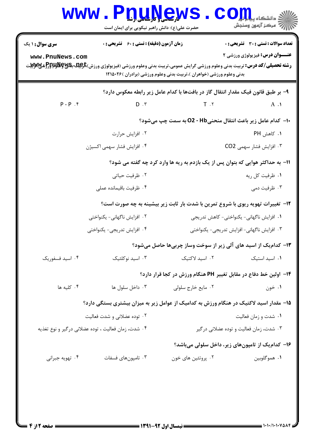|                                                     | <b>WWW .</b><br><b>D'ANGW</b><br>حضرت علی(ع): دانش راهبر نیکویی برای ایمان است         |                                                                                         | $\text{COLL}$ دانشگاه پیا $\text{COL}$<br>رُ⁄ کرڪز آزمون وسنڊش                |
|-----------------------------------------------------|----------------------------------------------------------------------------------------|-----------------------------------------------------------------------------------------|-------------------------------------------------------------------------------|
| <b>سری سوال :</b> ۱ یک<br>www.PnuNews.com           | <b>زمان آزمون (دقیقه) : تستی : 60 ٪ تشریحی : 0</b>                                     | بدنی وعلوم ورزشی (خواهران )،تربیت بدنی وعلوم ورزشی (برادران )۲۲۵۰۲۶ ا                   | تعداد سوالات : تستى : 30 قشريحى : 0<br><b>عنـــوان درس:</b> فیزیولوژی ورزشی ۲ |
|                                                     |                                                                                        | ۹– بر طبق قانون فیک مقدار انتقال گاز در بافتها با کدام عامل زیر رابطه معکوس دارد؟       |                                                                               |
| $P - P$ $\cdot$ $\hat{r}$                           | $D \cdot \tilde{v}$                                                                    | $T \cdot Y$                                                                             | $A \cdot \mathbf{A}$                                                          |
|                                                     |                                                                                        | ∙ا− کدام عامل زیر باعث انتقال منحنیD2 - Hb به سمت چپ میشود؟                             |                                                                               |
|                                                     | ۰۲ افزایش حرارت                                                                        |                                                                                         | ۰۱ کاهش PH                                                                    |
|                                                     | ۰۴ افزایش فشار سهمی اکسیژن                                                             |                                                                                         | ۰۳ افزایش فشار سهمی CO2                                                       |
|                                                     |                                                                                        | 11- به حداکثر هوایی که بتوان پس از یک بازدم به ریه ها وارد کرد چه گفته می شود؟          |                                                                               |
|                                                     | ۰۲ ظرفیت حیاتی                                                                         |                                                                                         | ۰۱ ظرفیت کل ریه                                                               |
|                                                     | ۰۴ ظرفيت باقيمانده عملي                                                                |                                                                                         | ۰۳ ظرفیت دمی                                                                  |
|                                                     |                                                                                        | <b>۱۲</b> - تغییرات تهویه ریوی با شروع تمرین با شدت بار ثابت زیر بیشینه به چه صورت است؟ |                                                                               |
|                                                     | ۰۲ افزایش ناگهانی- یکنواختی                                                            |                                                                                         | ٠١ افزايش ناگهاني- يكنواختي- كاهش تدريجي                                      |
|                                                     | ۰۴ افزایش تدریجی- یکنواختی                                                             |                                                                                         | ۰۳ افزایش ناگهانی- افزایش تدریجی- یکنواختی                                    |
|                                                     |                                                                                        | ۱۳- کدام یک از اسید های آلی زیر از سوخت وساز چربیها حاصل میشود؟                         |                                                                               |
| ۰۴ اسید فسفوریک                                     | ۰۳ اسید نوکلئیک                                                                        | ٠٢ اسيد لاكتيک                                                                          | ٠١ اسيد استيک                                                                 |
|                                                     |                                                                                        | ۰۱۴ اولین خط دفاع در مقابل تغییر PH هنگام ورزش در کجا قرار دارد؟                        |                                                                               |
| ۰۴ کلیه ها                                          | ۰۳ داخل سلول ها                                                                        | ۰۲ مايع خارج سلولي                                                                      | ۰۱ خون                                                                        |
|                                                     | ۱۵– مقدار اسید لاکتیک در هنگام ورزش به کدامیک از عوامل زیر به میزان بیشتری بستگی دارد؟ |                                                                                         |                                                                               |
|                                                     | ۰۲ توده عضلانی و شدت فعالیت                                                            |                                                                                         | ۰۱ شدت و زمان فعالیت                                                          |
| ۰۴ شدت، زمان فعالیت ، توده عضلانی درگیر و نوع تغذیه |                                                                                        |                                                                                         | ۰۳ شدت، زمان فعالیت و توده عضلانی در گیر                                      |
|                                                     |                                                                                        |                                                                                         | ۱۶- کدام یک از تامپونهای زیر، داخل سلولی میباشد؟                              |
| ۰۴ تهویه جبرانی                                     | ۰۳ تامپونهای فسفات                                                                     | ۰۲ پروتئین های خون                                                                      | ۰۱ هموگلوبين                                                                  |
|                                                     |                                                                                        |                                                                                         |                                                                               |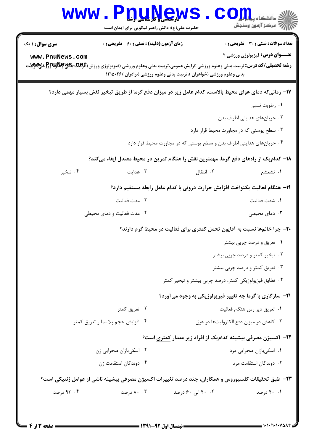| <b>WWW</b>                                                                                                                                         | <u>U.Nev</u><br>حضرت علی(ع): دانش راهبر نیکویی برای ایمان است |                                                                                                       | دانشگاه پ <b>یا ب<mark>ا</mark> وا</b><br><i>[[7</i> ] مرڪز آزمون وسنڊش |
|----------------------------------------------------------------------------------------------------------------------------------------------------|---------------------------------------------------------------|-------------------------------------------------------------------------------------------------------|-------------------------------------------------------------------------|
| <b>سری سوال :</b> ۱ یک                                                                                                                             | <b>زمان آزمون (دقیقه) : تستی : 60 ٪ تشریحی : 0</b>            |                                                                                                       | <b>تعداد سوالات : تستی : 30 ٪ تشریحی : 0</b>                            |
| www.PnuNews.com                                                                                                                                    |                                                               |                                                                                                       | <b>عنـــوان درس:</b> فیزیولوژی ورزشی ۲                                  |
| <b>رشته تحصیلی/کد درس:</b> تربیت بدنی وعلوم ورزشی گرایش عمومی،تربیت بدنی وعلوم ورزشی (فیزیولوژی ورزش) <del>با</del> و <b>ید.پگیلپولیلبوتی</b><br>. |                                                               | بدنی وعلوم ورزشی (خواهران )،تربیت بدنی وعلوم ورزشی (برادران )۲۲۵۰۲۶                                   |                                                                         |
|                                                                                                                                                    |                                                               | ۱۷– زمانیکه دمای هوای محیط بالاست، کدام عامل زیر در میزان دفع گرما از طریق تبخیر نقش بسیار مهمی دارد؟ |                                                                         |
|                                                                                                                                                    |                                                               |                                                                                                       | ۰۱ رطوبت نسبی                                                           |
|                                                                                                                                                    |                                                               |                                                                                                       | ۰۲ جریانهای هدایتی اطراف بدن                                            |
|                                                                                                                                                    |                                                               |                                                                                                       | ۰۳ سطح پوستی که در مجاورت محیط قرار دارد                                |
|                                                                                                                                                    |                                                               | ۰۴ جریانهای هدایتی اطراف بدن و سطح پوستی که در مجاورت محیط قرار دارد                                  |                                                                         |
|                                                                                                                                                    |                                                               | ۱۸– کدامیک از راههای دفع گرما، مهمترین نقش را هنگام تمرین در محیط معتدل ایفاء میکند؟                  |                                                                         |
| ۰۴ تبخير                                                                                                                                           | ۰۳ هدایت                                                      | ۰۲ انتقال                                                                                             | ۰۱ تشعشع                                                                |
| 19- هنگام فعالیت یکنواخت افزایش حرارت درونی با کدام عامل رابطه مستقیم دارد؟                                                                        |                                                               |                                                                                                       |                                                                         |
|                                                                                                                                                    | ۰۲ مدت فعالیت                                                 |                                                                                                       | ٠١. شدت فعاليت                                                          |
|                                                                                                                                                    | ۰۴ مدت فعالیت و دمای محیطی                                    |                                                                                                       | ۰۳ دمای محیطی                                                           |
|                                                                                                                                                    |                                                               | <b>۲۰</b> - چرا خانمها نسبت به آقایون تحمل کمتری برای فعالیت در محیط گرم دارند؟                       |                                                                         |
|                                                                                                                                                    |                                                               |                                                                                                       | ۰۱ تعریق و درصد چربی بیشتر                                              |
|                                                                                                                                                    |                                                               |                                                                                                       | ۰۲ تبخیر کمتر و درصد چربی بیشتر                                         |
|                                                                                                                                                    |                                                               |                                                                                                       | ۰۳ تعریق کمتر و درصد چربی بیشتر                                         |
|                                                                                                                                                    |                                                               | ۰۴ تطابق فیزیولوژیکی کمتر، درصد چربی بیشتر و تبخیر کمتر                                               |                                                                         |
|                                                                                                                                                    |                                                               | <b>۲۱</b> - سازگاری با گرما چه تغییر فیزیولوژیکی به وجود میآورد؟                                      |                                                                         |
|                                                                                                                                                    | ۰۲ تعریق کمتر                                                 |                                                                                                       | ۰۱ تعریق دیر رس هنگام فعالیت                                            |
|                                                                                                                                                    | ۰۴ افزایش حجم پلاسما و تعریق کمتر                             |                                                                                                       | ۰۳ کاهش در میزان دفع الکترولیتها در عرق                                 |
|                                                                                                                                                    |                                                               | ۲۲– اکسیژن مصرفی بیشینه کدامیک از افراد زیر مقدار کمتری است؟                                          |                                                                         |
|                                                                                                                                                    | ۰۲ اسکیبازان صحرایی زن                                        |                                                                                                       | ۰۱ اسکیبازان صحرایی مرد                                                 |
|                                                                                                                                                    | ۰۴ دوندگان استقامت زن                                         |                                                                                                       | ۰۳ دوندگان استقامت مرد                                                  |
|                                                                                                                                                    |                                                               | ٢٣- طبق تحقيقات كلسيوروس و همكاران، چند درصد تغييرات اكسيژن مصرفي بيشينه ناشي از عوامل ژنتيكي است؟    |                                                                         |
| ۹۳ ۰۴ درصد                                                                                                                                         | ۸۰ ۸۰ درصد                                                    | ۰۲ - ۴۰ الي ۶۰ درصد                                                                                   | ۰۹ درصد                                                                 |
|                                                                                                                                                    |                                                               |                                                                                                       |                                                                         |